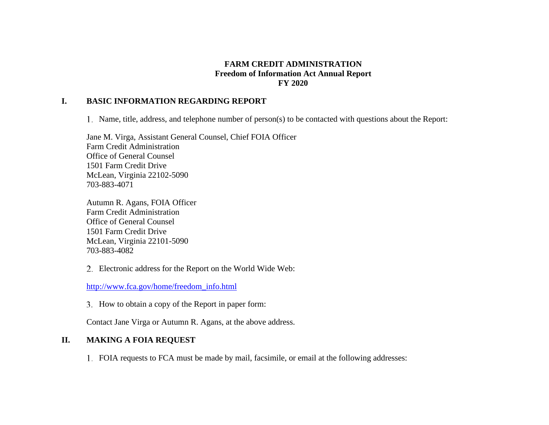## **FARM CREDIT ADMINISTRATION Freedom of Information Act Annual Report FY 2020**

#### **I. BASIC INFORMATION REGARDING REPORT**

Name, title, address, and telephone number of person(s) to be contacted with questions about the Report:

Jane M. Virga, Assistant General Counsel, Chief FOIA Officer Farm Credit Administration Office of General Counsel 1501 Farm Credit Drive McLean, Virginia 22102-5090 703-883-4071

Autumn R. Agans, FOIA Officer Farm Credit Administration Office of General Counsel 1501 Farm Credit Drive McLean, Virginia 22101-5090 703-883-4082

Electronic address for the Report on the World Wide Web:

[http://www.fca.gov/home/freedom\\_info.html](http://www.fca.gov/home/freedom_info.html)

3. How to obtain a copy of the Report in paper form:

Contact Jane Virga or Autumn R. Agans, at the above address.

## **II. MAKING A FOIA REQUEST**

FOIA requests to FCA must be made by mail, facsimile, or email at the following addresses: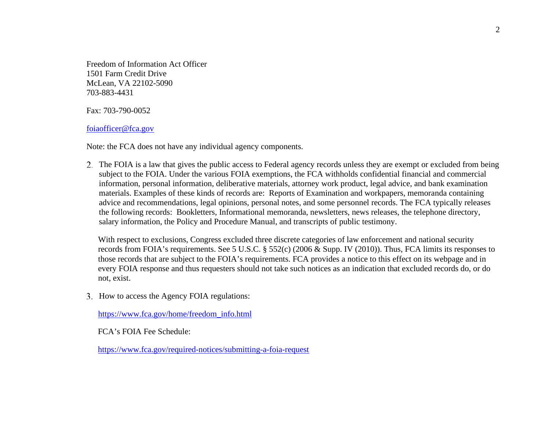Freedom of Information Act Officer 1501 Farm Credit Drive McLean, VA 22102-5090 703-883-4431

Fax: 703-790-0052

[foiaofficer@fca.gov](mailto:foiaofficer@fca.gov)

Note: the FCA does not have any individual agency components.

The FOIA is a law that gives the public access to Federal agency records unless they are exempt or excluded from being subject to the FOIA. Under the various FOIA exemptions, the FCA withholds confidential financial and commercial information, personal information, deliberative materials, attorney work product, legal advice, and bank examination materials. Examples of these kinds of records are: Reports of Examination and workpapers, memoranda containing advice and recommendations, legal opinions, personal notes, and some personnel records. The FCA typically releases the following records: Bookletters, Informational memoranda, newsletters, news releases, the telephone directory, salary information, the Policy and Procedure Manual, and transcripts of public testimony.

With respect to exclusions, Congress excluded three discrete categories of law enforcement and national security records from FOIA's requirements. See 5 U.S.C. § 552(c) (2006 & Supp. IV (2010)). Thus, FCA limits its responses to those records that are subject to the FOIA's requirements. FCA provides a notice to this effect on its webpage and in every FOIA response and thus requesters should not take such notices as an indication that excluded records do, or do not, exist.

3. How to access the Agency FOIA regulations:

[https://www.fca.gov/home/freedom\\_info.html](https://www.fca.gov/home/freedom_info.html)

FCA's FOIA Fee Schedule:

<https://www.fca.gov/required-notices/submitting-a-foia-request>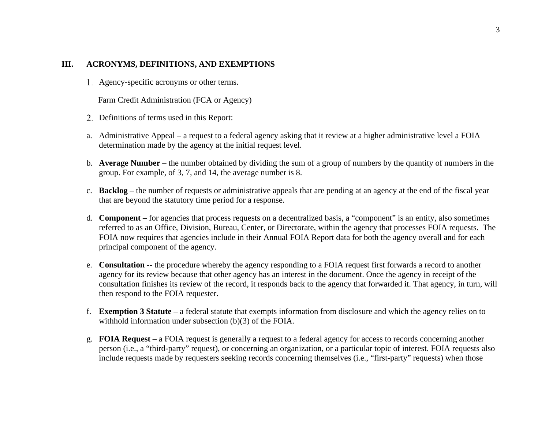#### **III. ACRONYMS, DEFINITIONS, AND EXEMPTIONS**

Agency-specific acronyms or other terms.

Farm Credit Administration (FCA or Agency)

- 2. Definitions of terms used in this Report:
- a. Administrative Appeal a request to a federal agency asking that it review at a higher administrative level a FOIA determination made by the agency at the initial request level.
- b. **Average Number**  the number obtained by dividing the sum of a group of numbers by the quantity of numbers in the group. For example, of 3, 7, and 14, the average number is 8.
- c. **Backlog**  the number of requests or administrative appeals that are pending at an agency at the end of the fiscal year that are beyond the statutory time period for a response.
- d. **Component –** for agencies that process requests on a decentralized basis, a "component" is an entity, also sometimes referred to as an Office, Division, Bureau, Center, or Directorate, within the agency that processes FOIA requests. The FOIA now requires that agencies include in their Annual FOIA Report data for both the agency overall and for each principal component of the agency.
- e. **Consultation** -- the procedure whereby the agency responding to a FOIA request first forwards a record to another agency for its review because that other agency has an interest in the document. Once the agency in receipt of the consultation finishes its review of the record, it responds back to the agency that forwarded it. That agency, in turn, will then respond to the FOIA requester.
- f. **Exemption 3 Statute**  a federal statute that exempts information from disclosure and which the agency relies on to withhold information under subsection (b)(3) of the FOIA.
- g. **FOIA Request**  a FOIA request is generally a request to a federal agency for access to records concerning another person (i.e., a "third-party" request), or concerning an organization, or a particular topic of interest. FOIA requests also include requests made by requesters seeking records concerning themselves (i.e., "first-party" requests) when those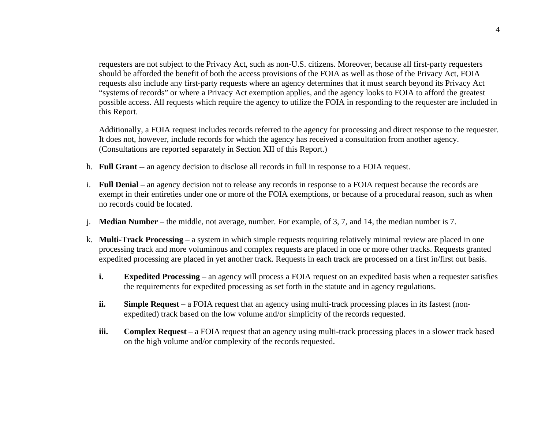requesters are not subject to the Privacy Act, such as non-U.S. citizens. Moreover, because all first-party requesters should be afforded the benefit of both the access provisions of the FOIA as well as those of the Privacy Act, FOIA requests also include any first-party requests where an agency determines that it must search beyond its Privacy Act "systems of records" or where a Privacy Act exemption applies, and the agency looks to FOIA to afford the greatest possible access. All requests which require the agency to utilize the FOIA in responding to the requester are included in this Report.

Additionally, a FOIA request includes records referred to the agency for processing and direct response to the requester. It does not, however, include records for which the agency has received a consultation from another agency. (Consultations are reported separately in Section XII of this Report.)

- h. **Full Grant** -- an agency decision to disclose all records in full in response to a FOIA request.
- i. **Full Denial**  an agency decision not to release any records in response to a FOIA request because the records are exempt in their entireties under one or more of the FOIA exemptions, or because of a procedural reason, such as when no records could be located.
- j. **Median Number**  the middle, not average, number. For example, of 3, 7, and 14, the median number is 7.
- k. **Multi-Track Processing**  a system in which simple requests requiring relatively minimal review are placed in one processing track and more voluminous and complex requests are placed in one or more other tracks. Requests granted expedited processing are placed in yet another track. Requests in each track are processed on a first in/first out basis.
	- **i. Expedited Processing** an agency will process a FOIA request on an expedited basis when a requester satisfies the requirements for expedited processing as set forth in the statute and in agency regulations.
	- **ii. Simple Request** a FOIA request that an agency using multi-track processing places in its fastest (nonexpedited) track based on the low volume and/or simplicity of the records requested.
	- **iii. Complex Request** a FOIA request that an agency using multi-track processing places in a slower track based on the high volume and/or complexity of the records requested.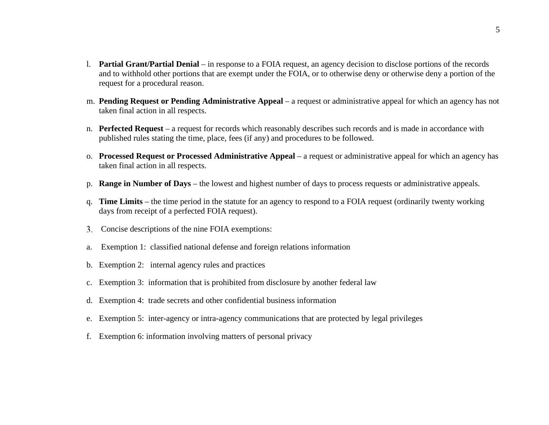- l. **Partial Grant/Partial Denial**  in response to a FOIA request, an agency decision to disclose portions of the records and to withhold other portions that are exempt under the FOIA, or to otherwise deny or otherwise deny a portion of the request for a procedural reason.
- m. **Pending Request or Pending Administrative Appeal**  a request or administrative appeal for which an agency has not taken final action in all respects.
- n. **Perfected Request** a request for records which reasonably describes such records and is made in accordance with published rules stating the time, place, fees (if any) and procedures to be followed.
- o. **Processed Request or Processed Administrative Appeal**  a request or administrative appeal for which an agency has taken final action in all respects.
- p. **Range in Number of Days**  the lowest and highest number of days to process requests or administrative appeals.
- q. **Time Limits**  the time period in the statute for an agency to respond to a FOIA request (ordinarily twenty working days from receipt of a perfected FOIA request).
- Concise descriptions of the nine FOIA exemptions:
- a. Exemption 1: classified national defense and foreign relations information
- b. Exemption 2: internal agency rules and practices
- c. Exemption 3: information that is prohibited from disclosure by another federal law
- d. Exemption 4: trade secrets and other confidential business information
- e. Exemption 5: inter-agency or intra-agency communications that are protected by legal privileges
- f. Exemption 6: information involving matters of personal privacy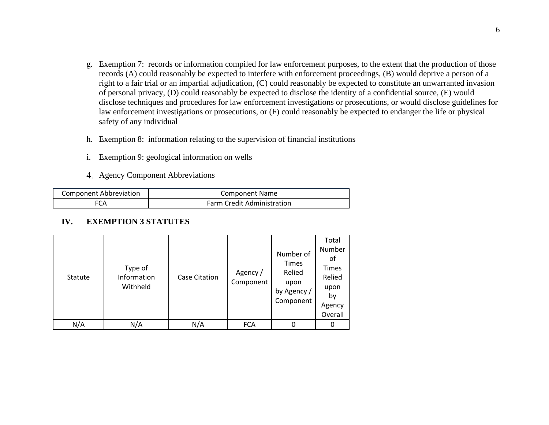- g. Exemption 7: records or information compiled for law enforcement purposes, to the extent that the production of those records (A) could reasonably be expected to interfere with enforcement proceedings, (B) would deprive a person of a right to a fair trial or an impartial adjudication, (C) could reasonably be expected to constitute an unwarranted invasion of personal privacy, (D) could reasonably be expected to disclose the identity of a confidential source, (E) would disclose techniques and procedures for law enforcement investigations or prosecutions, or would disclose guidelines for law enforcement investigations or prosecutions, or (F) could reasonably be expected to endanger the life or physical safety of any individual
- h. Exemption 8: information relating to the supervision of financial institutions
- i. Exemption 9: geological information on wells
- Agency Component Abbreviations

| <b>Component Abbreviation</b> | Component Name                    |
|-------------------------------|-----------------------------------|
| FCA                           | <b>Farm Credit Administration</b> |

#### **IV. EXEMPTION 3 STATUTES**

| Statute | Type of<br>Information<br>Withheld | <b>Case Citation</b> | Agency /<br>Component | Number of<br><b>Times</b><br>Relied<br>upon<br>by Agency /<br>Component | Total<br>Number<br>οt<br><b>Times</b><br>Relied<br>upon<br>by<br>Agency<br>Overall |
|---------|------------------------------------|----------------------|-----------------------|-------------------------------------------------------------------------|------------------------------------------------------------------------------------|
| N/A     | N/A                                | N/A                  | <b>FCA</b>            |                                                                         | 0                                                                                  |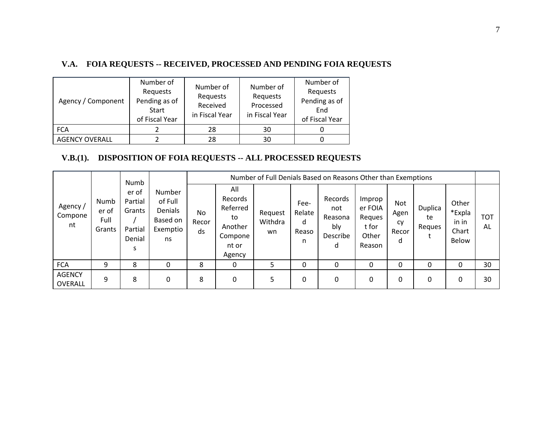# **V.A. FOIA REQUESTS -- RECEIVED, PROCESSED AND PENDING FOIA REQUESTS**

| Agency / Component    | Number of<br>Requests<br>Pending as of<br>Start<br>of Fiscal Year | Number of<br>Requests<br>Received<br>in Fiscal Year | Number of<br>Requests<br>Processed<br>in Fiscal Year | Number of<br>Requests<br>Pending as of<br>End<br>of Fiscal Year |
|-----------------------|-------------------------------------------------------------------|-----------------------------------------------------|------------------------------------------------------|-----------------------------------------------------------------|
| <b>FCA</b>            |                                                                   | 28                                                  | 30                                                   |                                                                 |
| <b>AGENCY OVERALL</b> |                                                                   | 28                                                  | 30                                                   |                                                                 |

# **V.B.(1). DISPOSITION OF FOIA REQUESTS -- ALL PROCESSED REQUESTS**

|                                 |                                 | Numb                                                 |                                                                   |                          |                                                                           |                          |                                   | Number of Full Denials Based on Reasons Other than Exemptions |                                                         |                                        |                         |                                                   |           |
|---------------------------------|---------------------------------|------------------------------------------------------|-------------------------------------------------------------------|--------------------------|---------------------------------------------------------------------------|--------------------------|-----------------------------------|---------------------------------------------------------------|---------------------------------------------------------|----------------------------------------|-------------------------|---------------------------------------------------|-----------|
| Agency /<br>Compone<br>nt       | Numb<br>er of<br>Full<br>Grants | er of<br>Partial<br>Grants<br>Partial<br>Denial<br>S | <b>Number</b><br>of Full<br>Denials<br>Based on<br>Exemptio<br>ns | <b>No</b><br>Recor<br>ds | All<br>Records<br>Referred<br>to<br>Another<br>Compone<br>nt or<br>Agency | Request<br>Withdra<br>wn | Fee-<br>Relate<br>d<br>Reaso<br>n | Records<br>not<br>Reasona<br>bly<br>Describe<br>d             | Improp<br>er FOIA<br>Reques<br>t for<br>Other<br>Reason | <b>Not</b><br>Agen<br>cy<br>Recor<br>d | Duplica<br>te<br>Reques | Other<br>*Expla<br>in in<br>Chart<br><b>Below</b> | тот<br>AL |
| <b>FCA</b>                      | 9                               | 8                                                    | 0                                                                 | 8                        | 0                                                                         | 5                        | 0                                 | 0                                                             | 0                                                       | 0                                      | 0                       | 0                                                 | 30        |
| <b>AGENCY</b><br><b>OVERALL</b> | 9                               | 8                                                    | 0                                                                 | 8                        | 0                                                                         | 5                        | 0                                 | 0                                                             | 0                                                       | 0                                      | 0                       | 0                                                 | 30        |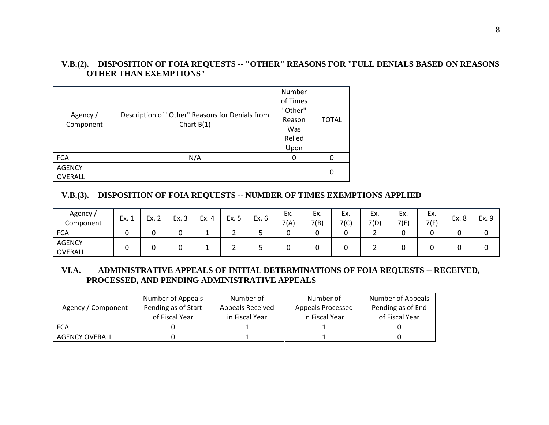# **V.B.(2). DISPOSITION OF FOIA REQUESTS -- "OTHER" REASONS FOR "FULL DENIALS BASED ON REASONS OTHER THAN EXEMPTIONS"**

| Agency /<br>Component    | Description of "Other" Reasons for Denials from<br>Chart $B(1)$ | Number<br>of Times<br>"Other"<br>Reason<br>Was<br>Relied<br>Upon | <b>TOTAL</b> |
|--------------------------|-----------------------------------------------------------------|------------------------------------------------------------------|--------------|
| <b>FCA</b>               | N/A                                                             | 0                                                                |              |
| <b>AGENCY</b><br>OVERALL |                                                                 |                                                                  | 0            |

## **V.B.(3). DISPOSITION OF FOIA REQUESTS -- NUMBER OF TIMES EXEMPTIONS APPLIED**

| Agency<br>Component      | Ex. 1 | Ex. 2 | Ev<br>ر… | Ex. 4 | Ex. 5    | Ex. 6 | Ex.<br>7(A) | Ex.<br>7(B) | Ex.<br>7(C) | Ex.<br>7(D) | Ex.<br>7(E) | Ex.<br>7(F) | Ex. 8 | Ex. 9 |
|--------------------------|-------|-------|----------|-------|----------|-------|-------------|-------------|-------------|-------------|-------------|-------------|-------|-------|
| <b>FCA</b>               | ັ     |       |          | --    |          | ے     |             | ◠<br>u      | ∽           | -           | ັ           |             |       |       |
| <b>AGENCY</b><br>OVERALL | ີ     |       |          | -     | <u>.</u> | ۰     |             | ີ           |             |             | ີ           |             |       | ັ     |

## **VI.A. ADMINISTRATIVE APPEALS OF INITIAL DETERMINATIONS OF FOIA REQUESTS -- RECEIVED, PROCESSED, AND PENDING ADMINISTRATIVE APPEALS**

|                       | Number of Appeals   | Number of        | Number of         | Number of Appeals |
|-----------------------|---------------------|------------------|-------------------|-------------------|
| Agency / Component    | Pending as of Start | Appeals Received | Appeals Processed | Pending as of End |
|                       | of Fiscal Year      | in Fiscal Year   | in Fiscal Year    | of Fiscal Year    |
| <b>FCA</b>            |                     |                  |                   |                   |
| <b>AGENCY OVERALL</b> |                     |                  |                   |                   |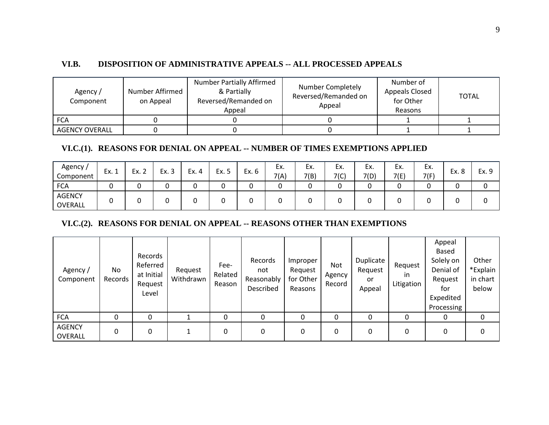#### **VI.B. DISPOSITION OF ADMINISTRATIVE APPEALS -- ALL PROCESSED APPEALS**

| Agency /<br>Component | Number Affirmed<br>on Appeal | <b>Number Partially Affirmed</b><br>& Partially<br>Reversed/Remanded on<br>Appeal | Number Completely<br>Reversed/Remanded on<br>Appeal | Number of<br>Appeals Closed<br>for Other<br>Reasons | TOTAL |
|-----------------------|------------------------------|-----------------------------------------------------------------------------------|-----------------------------------------------------|-----------------------------------------------------|-------|
| <b>FCA</b>            |                              |                                                                                   |                                                     |                                                     |       |
| <b>AGENCY OVERALL</b> |                              |                                                                                   |                                                     |                                                     |       |

#### **VI.C.(1). REASONS FOR DENIAL ON APPEAL -- NUMBER OF TIMES EXEMPTIONS APPLIED**

| Agency /<br>Component | Ex. 1 | Ex. 2 | Ex. 3 | Ex. 4 | Ex. 5 | Ex. 6 | Ex.<br>7(A) | Ex.<br>7(B) | Ex.<br>7(C) | Ex.<br>7(D) | Ex.<br>7(E) | ЕX.<br>7(F) | Ex. 8 | Ex. 9 |
|-----------------------|-------|-------|-------|-------|-------|-------|-------------|-------------|-------------|-------------|-------------|-------------|-------|-------|
| <b>FCA</b>            |       |       |       | ີ     | ∼     |       | ∽<br>u      |             |             |             | ີ           |             |       |       |
| AGENCY<br>OVERALL     |       |       |       |       |       |       | ື           |             |             |             |             |             |       |       |

### **VI.C.(2). REASONS FOR DENIAL ON APPEAL -- REASONS OTHER THAN EXEMPTIONS**

| Agency /<br>Component    | No<br>Records | Records<br>Referred<br>at Initial<br>Request<br>Level | Request<br>Withdrawn | Fee-<br>Related<br>Reason | Records<br>not<br>Reasonably<br>Described | Improper<br>Request<br>for Other<br>Reasons | Not.<br>Agency<br>Record | Duplicate<br>Request<br>or<br>Appeal | Request<br>ın<br>Litigation | Appeal<br><b>Based</b><br>Solely on<br>Denial of<br>Request<br>for<br>Expedited<br>Processing | Other<br>*Explain<br>in chart<br>below |
|--------------------------|---------------|-------------------------------------------------------|----------------------|---------------------------|-------------------------------------------|---------------------------------------------|--------------------------|--------------------------------------|-----------------------------|-----------------------------------------------------------------------------------------------|----------------------------------------|
| <b>FCA</b>               | 0             |                                                       |                      |                           |                                           |                                             | 0                        |                                      | 0                           | 0                                                                                             | 0                                      |
| <b>AGENCY</b><br>OVERALL | 0             | 0                                                     |                      | 0                         | 0                                         | 0                                           | 0                        | 0                                    | 0                           | 0                                                                                             | 0                                      |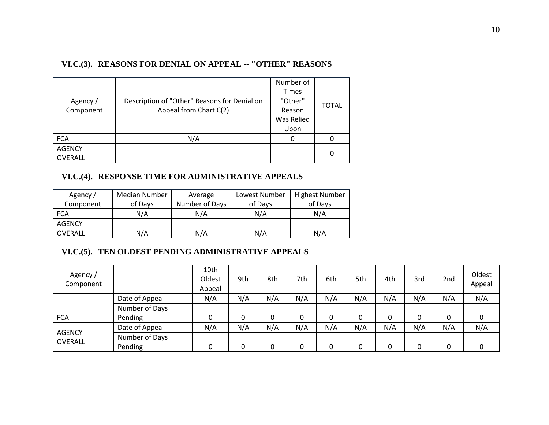## **VI.C.(3). REASONS FOR DENIAL ON APPEAL -- "OTHER" REASONS**

|                |                                              | Number of               |              |
|----------------|----------------------------------------------|-------------------------|--------------|
| Agency /       | Description of "Other" Reasons for Denial on | <b>Times</b><br>"Other" | <b>TOTAL</b> |
| Component      | Appeal from Chart C(2)                       | Reason                  |              |
|                |                                              | Was Relied              |              |
|                |                                              | Upon                    |              |
| <b>FCA</b>     | N/A                                          | 0                       |              |
| <b>AGENCY</b>  |                                              |                         | 0            |
| <b>OVERALL</b> |                                              |                         |              |

## **VI.C.(4). RESPONSE TIME FOR ADMINISTRATIVE APPEALS**

| Agency /       | Median Number | Average        | Lowest Number | <b>Highest Number</b> |
|----------------|---------------|----------------|---------------|-----------------------|
| Component      | of Days       | Number of Days | of Days       | of Days               |
| <b>FCA</b>     | N/A           | N/A            | N/A           | N/A                   |
| <b>AGENCY</b>  |               |                |               |                       |
| <b>OVERALL</b> | N/A           | N/A            | N/A           | N/A                   |

# **VI.C.(5). TEN OLDEST PENDING ADMINISTRATIVE APPEALS**

| Agency/<br>Component |                           | 10th<br>Oldest<br>Appeal | 9th | 8th | 7th | 6th | 5th | 4th | 3rd | 2nd | Oldest<br>Appeal |
|----------------------|---------------------------|--------------------------|-----|-----|-----|-----|-----|-----|-----|-----|------------------|
|                      | Date of Appeal            | N/A                      | N/A | N/A | N/A | N/A | N/A | N/A | N/A | N/A | N/A              |
|                      | Number of Days            |                          |     |     |     |     |     |     |     |     |                  |
| <b>FCA</b>           | Pending                   | 0                        |     | 0   |     | 0   | 0   | 0   | 0   | 0   | 0                |
| <b>AGENCY</b>        | Date of Appeal            | N/A                      | N/A | N/A | N/A | N/A | N/A | N/A | N/A | N/A | N/A              |
| OVERALL              | Number of Days<br>Pending |                          |     | 0   |     | 0   | 0   | 0   | 0   | 0   | 0                |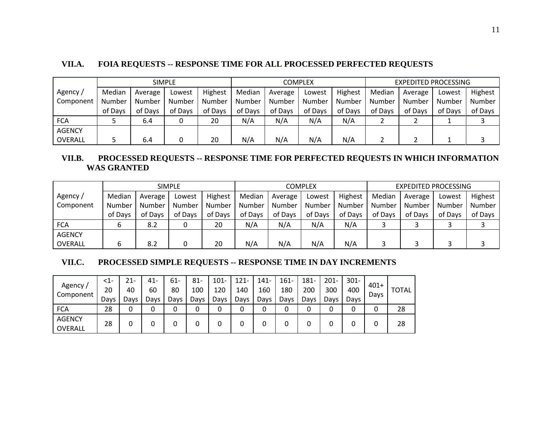## **VII.A. FOIA REQUESTS -- RESPONSE TIME FOR ALL PROCESSED PERFECTED REQUESTS**

|               |         |         | <b>SIMPLE</b> |         |         |         | COMPLEX |         | <b>EXPEDITED PROCESSING</b> |         |         |         |  |
|---------------|---------|---------|---------------|---------|---------|---------|---------|---------|-----------------------------|---------|---------|---------|--|
| Agency /      | Median  | Average | Lowest        | Highest | Median  | Average | Lowest  | Highest | Median                      | Average | Lowest  | Highest |  |
| Component     | Number  | Number  | Number        | Number  | Number  | Number  | Number  | Number  | Number                      | Number  | Number  | Number  |  |
|               | of Days | of Days | of Days       | of Days | of Days | of Days | of Days | of Days | of Days                     | of Days | of Days | of Days |  |
| <b>FCA</b>    |         | 6.4     |               | 20      | N/A     | N/A     | N/A     | N/A     |                             |         |         |         |  |
| <b>AGENCY</b> |         |         |               |         |         |         |         |         |                             |         |         |         |  |
| OVERALL       |         | 6.4     |               | 20      | N/A     | N/A     | N/A     | N/A     |                             |         |         |         |  |

## **VII.B. PROCESSED REQUESTS -- RESPONSE TIME FOR PERFECTED REQUESTS IN WHICH INFORMATION WAS GRANTED**

| <b>SIMPLE</b> |         |         |         |         |         |         | <b>COMPLEX</b> |         | <b>EXPEDITED PROCESSING</b> |         |         |         |  |
|---------------|---------|---------|---------|---------|---------|---------|----------------|---------|-----------------------------|---------|---------|---------|--|
| Agency /      | Median  | Average | Lowest  | Highest | Median  | Average | Lowest         | Highest | Median                      | Average | Lowest  | Highest |  |
| Component     | Number  | Number  | Number  | Number  | Number  | Number  | Number         | Number  | Number                      | Number  | Number  | Number  |  |
|               | of Days | of Days | of Days | of Days | of Days | of Days | of Days        | of Days | of Days                     | of Days | of Days | of Days |  |
| <b>FCA</b>    |         | 8.2     | 0       | 20      | N/A     | N/A     | N/A            | N/A     |                             |         |         |         |  |
| <b>AGENCY</b> |         |         |         |         |         |         |                |         |                             |         |         |         |  |
| OVERALL       |         | 8.2     | 0       | 20      | N/A     | N/A     | N/A            | N/A     |                             |         |         |         |  |

#### **VII.C. PROCESSED SIMPLE REQUESTS -- RESPONSE TIME IN DAY INCREMENTS**

| Agency /                 | $<$ 1- | 21-  | 41-  | 61-  | $81 -$ | $101 -$ | $121 -$ | $141 -$ | $161 -$ | 181- | $201 -$ | $301 -$ | $401+$ |              |
|--------------------------|--------|------|------|------|--------|---------|---------|---------|---------|------|---------|---------|--------|--------------|
| Component                | 20     | 40   | 60   | 80   | 100    | 120     | 140     | 160     | 180     | 200  | 300     | 400     | Days   | <b>TOTAL</b> |
|                          | Days   | Days | Days | Days | Days   | Days    | Days    | Days    | Davs    | Days | Days    | Davs    |        |              |
| <b>FCA</b>               | 28     | 0    | 0    |      |        | 0       |         |         | 0       |      |         | 0       |        | 28           |
| <b>AGENCY</b><br>OVERALL | 28     | 0    |      |      |        | 0       |         |         | 0       |      |         | U       |        | 28           |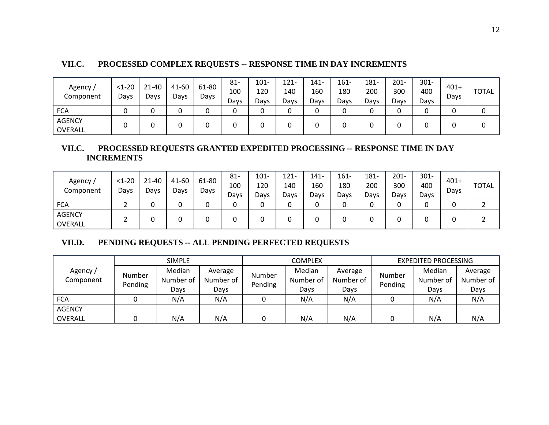| VII.C. | <b>PROCESSED COMPLEX REQUESTS -- RESPONSE TIME IN DAY INCREMENTS</b> |
|--------|----------------------------------------------------------------------|
|--------|----------------------------------------------------------------------|

| Agency /<br>Component    | $<1 - 20$<br>Days | 21-40<br>Days | 41-60<br>Days | 61-80<br>Days | 81-<br>100<br>Days | $101 -$<br>120<br>Days | $121 -$<br>140<br>Days | 141-<br>160<br>Days | $161 -$<br>180<br>Days | 181-<br>200<br>Days | $201 -$<br>300<br>Days | $301 -$<br>400<br>Davs | $401+$<br>Days | <b>TOTAL</b> |
|--------------------------|-------------------|---------------|---------------|---------------|--------------------|------------------------|------------------------|---------------------|------------------------|---------------------|------------------------|------------------------|----------------|--------------|
| <b>FCA</b>               |                   | v             |               |               | r<br>U             |                        |                        | 0                   |                        |                     | ⌒                      |                        |                |              |
| <b>AGENCY</b><br>OVERALL |                   | v             |               |               | U                  |                        |                        | 0                   |                        |                     |                        | ີ                      |                |              |

## **VII.C. PROCESSED REQUESTS GRANTED EXPEDITED PROCESSING -- RESPONSE TIME IN DAY INCREMENTS**

| Agency /<br>Component    | $<1-20$<br>Days | $21 - 40$<br>Days | 41-60<br>Days | 61-80<br>Days | $81 -$<br>100<br>Days | 101-<br>120<br>Days | 121-<br>140<br>Days | 141-<br>160<br>Days | $161 -$<br>180<br>Days | 181-<br>200<br>Days | $201 -$<br>300<br>Days | $301 -$<br>400<br>Days | $401+$<br>Days | <b>TOTAL</b> |
|--------------------------|-----------------|-------------------|---------------|---------------|-----------------------|---------------------|---------------------|---------------------|------------------------|---------------------|------------------------|------------------------|----------------|--------------|
| <b>FCA</b>               |                 |                   |               |               |                       |                     |                     | 0                   |                        |                     |                        | ບ                      |                |              |
| <b>AGENCY</b><br>OVERALL |                 |                   |               |               |                       |                     |                     |                     |                        |                     |                        | ບ                      |                |              |

# **VII.D. PENDING REQUESTS -- ALL PENDING PERFECTED REQUESTS**

|                      |                   | <b>SIMPLE</b>               |                              |                   | <b>COMPLEX</b>              |                              | <b>EXPEDITED PROCESSING</b> |                             |                              |  |
|----------------------|-------------------|-----------------------------|------------------------------|-------------------|-----------------------------|------------------------------|-----------------------------|-----------------------------|------------------------------|--|
| Agency/<br>Component | Number<br>Pending | Median<br>Number of<br>Days | Average<br>Number of<br>Days | Number<br>Pending | Median<br>Number of<br>Days | Average<br>Number of<br>Days | Number<br>Pending           | Median<br>Number of<br>Days | Average<br>Number of<br>Days |  |
| <b>FCA</b>           |                   | N/A                         | N/A                          |                   | N/A                         | N/A                          |                             | N/A                         | N/A                          |  |
| <b>AGENCY</b>        |                   |                             |                              |                   |                             |                              |                             |                             |                              |  |
| <b>OVERALL</b>       |                   | N/A                         | N/A                          |                   | N/A                         | N/A                          |                             | N/A                         | N/A                          |  |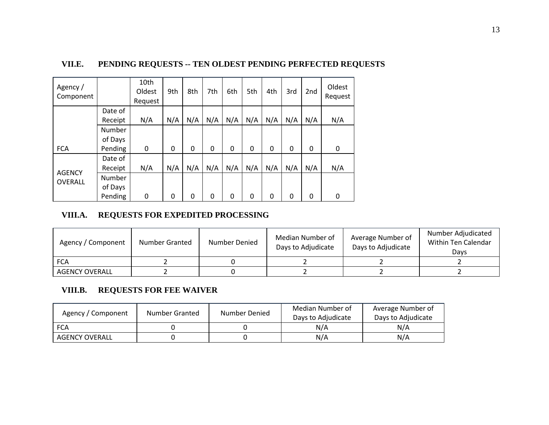| Agency /<br>Component           |                          | 10th<br>Oldest<br>Request | 9th | 8th | 7th | 6th      | 5th | 4th         | 3rd | 2 <sub>nd</sub> | Oldest<br>Request |
|---------------------------------|--------------------------|---------------------------|-----|-----|-----|----------|-----|-------------|-----|-----------------|-------------------|
|                                 | Date of<br>Receipt       | N/A                       | N/A | N/A | N/A | N/A      | N/A | N/A         | N/A | N/A             | N/A               |
|                                 | <b>Number</b><br>of Days |                           |     |     |     |          |     |             |     |                 |                   |
| <b>FCA</b>                      | Pending                  | 0                         | 0   | 0   | 0   | $\Omega$ | 0   | $\mathbf 0$ | 0   | 0               | 0                 |
|                                 | Date of                  |                           |     |     |     |          |     |             |     |                 |                   |
|                                 | Receipt                  | N/A                       | N/A | N/A | N/A | N/A      | N/A | N/A         | N/A | N/A             | N/A               |
| <b>AGENCY</b><br><b>OVERALL</b> | <b>Number</b>            |                           |     |     |     |          |     |             |     |                 |                   |
|                                 | of Days                  |                           |     |     |     |          |     |             |     |                 |                   |
|                                 | Pending                  | 0                         | 0   | 0   | 0   | $\Omega$ | 0   | 0           | 0   | 0               | 0                 |

# **VII.E. PENDING REQUESTS -- TEN OLDEST PENDING PERFECTED REQUESTS**

## **VIII.A. REQUESTS FOR EXPEDITED PROCESSING**

| Agency / Component    | Number Granted | Number Denied | Median Number of<br>Days to Adjudicate | Average Number of<br>Days to Adjudicate | Number Adjudicated<br>Within Ten Calendar<br>Davs |
|-----------------------|----------------|---------------|----------------------------------------|-----------------------------------------|---------------------------------------------------|
| <b>FCA</b>            |                |               |                                        |                                         |                                                   |
| <b>AGENCY OVERALL</b> |                |               |                                        |                                         |                                                   |

# **VIII.B. REQUESTS FOR FEE WAIVER**

| Agency / Component | Number Granted | Number Denied | Median Number of<br>Days to Adjudicate | Average Number of<br>Days to Adiudicate |
|--------------------|----------------|---------------|----------------------------------------|-----------------------------------------|
| <b>FCA</b>         |                |               | N/A                                    | N/A                                     |
| AGENCY OVERALL     |                |               | N/A                                    | N/A                                     |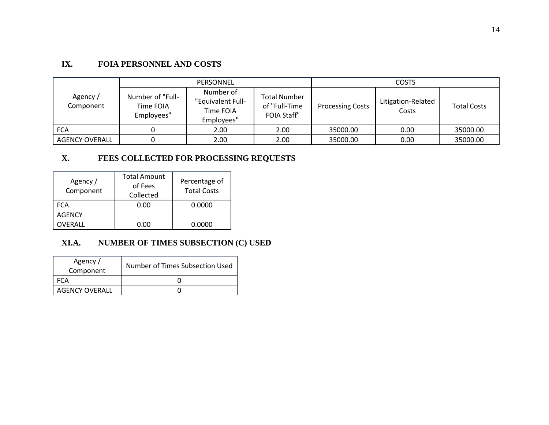# **IX. FOIA PERSONNEL AND COSTS**

|                       |                                             | PERSONNEL                                                 |                                                            | <b>COSTS</b>            |                             |                    |  |  |  |
|-----------------------|---------------------------------------------|-----------------------------------------------------------|------------------------------------------------------------|-------------------------|-----------------------------|--------------------|--|--|--|
| Agency/<br>Component  | Number of "Full-<br>Time FOIA<br>Employees" | Number of<br>"Equivalent Full-<br>Time FOIA<br>Employees" | <b>Total Number</b><br>of "Full-Time<br><b>FOIA Staff"</b> | <b>Processing Costs</b> | Litigation-Related<br>Costs | <b>Total Costs</b> |  |  |  |
| <b>FCA</b>            |                                             | 2.00                                                      | 2.00                                                       | 35000.00                | 0.00                        | 35000.00           |  |  |  |
| <b>AGENCY OVERALL</b> |                                             | 2.00                                                      | 2.00                                                       | 35000.00                | 0.00                        | 35000.00           |  |  |  |

# **X. FEES COLLECTED FOR PROCESSING REQUESTS**

| Agency /<br>Component | <b>Total Amount</b><br>of Fees<br>Collected | Percentage of<br><b>Total Costs</b> |
|-----------------------|---------------------------------------------|-------------------------------------|
| <b>FCA</b>            | 0.00                                        | 0.0000                              |
| <b>AGENCY</b>         |                                             |                                     |
| OVERALL               | 0.00                                        | 0.0000                              |

# **XI.A. NUMBER OF TIMES SUBSECTION (C) USED**

| Agency/<br>Component  | Number of Times Subsection Used |
|-----------------------|---------------------------------|
|                       |                                 |
| <b>AGENCY OVERALL</b> |                                 |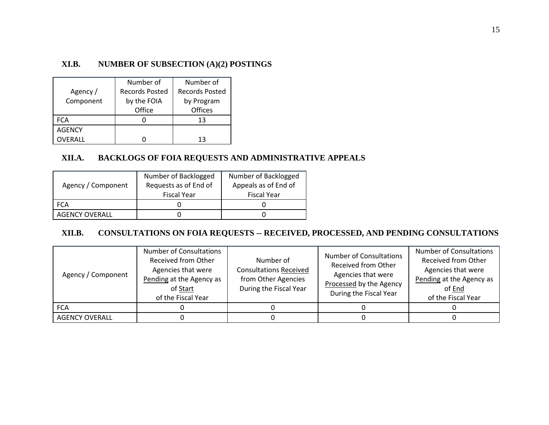## **XI.B. NUMBER OF SUBSECTION (A)(2) POSTINGS**

|               | Number of             | Number of             |
|---------------|-----------------------|-----------------------|
| Agency /      | <b>Records Posted</b> | <b>Records Posted</b> |
| Component     | by the FOIA           | by Program            |
|               | Office                | <b>Offices</b>        |
| <b>FCA</b>    |                       | 13                    |
| <b>AGENCY</b> |                       |                       |
| OVERALL       |                       | 13                    |

## **XII.A. BACKLOGS OF FOIA REQUESTS AND ADMINISTRATIVE APPEALS**

| Agency / Component    | Number of Backlogged<br>Requests as of End of<br><b>Fiscal Year</b> | Number of Backlogged<br>Appeals as of End of<br><b>Fiscal Year</b> |
|-----------------------|---------------------------------------------------------------------|--------------------------------------------------------------------|
| FCA                   |                                                                     |                                                                    |
| <b>AGENCY OVERALL</b> |                                                                     |                                                                    |

# **XII.B. CONSULTATIONS ON FOIA REQUESTS -- RECEIVED, PROCESSED, AND PENDING CONSULTATIONS**

| Agency / Component    | <b>Number of Consultations</b><br><b>Received from Other</b><br>Agencies that were<br>Pending at the Agency as<br>of Start<br>of the Fiscal Year | Number of<br><b>Consultations Received</b><br>from Other Agencies<br>During the Fiscal Year | <b>Number of Consultations</b><br>Received from Other<br>Agencies that were<br>Processed by the Agency<br>During the Fiscal Year | <b>Number of Consultations</b><br><b>Received from Other</b><br>Agencies that were<br>Pending at the Agency as<br>of End<br>of the Fiscal Year |
|-----------------------|--------------------------------------------------------------------------------------------------------------------------------------------------|---------------------------------------------------------------------------------------------|----------------------------------------------------------------------------------------------------------------------------------|------------------------------------------------------------------------------------------------------------------------------------------------|
| <b>FCA</b>            |                                                                                                                                                  |                                                                                             |                                                                                                                                  |                                                                                                                                                |
| <b>AGENCY OVERALL</b> |                                                                                                                                                  |                                                                                             |                                                                                                                                  |                                                                                                                                                |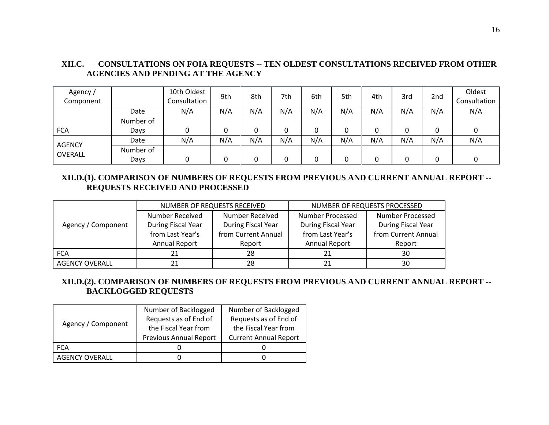| Agency/<br>Component     |           | 10th Oldest<br>Consultation | 9th | 8th | 7th | 6th | 5th | 4th | 3rd | 2 <sub>nd</sub> | Oldest<br>Consultation |
|--------------------------|-----------|-----------------------------|-----|-----|-----|-----|-----|-----|-----|-----------------|------------------------|
|                          | Date      | N/A                         | N/A | N/A | N/A | N/A | N/A | N/A | N/A | N/A             | N/A                    |
|                          | Number of |                             |     |     |     |     |     |     |     |                 |                        |
| <b>FCA</b>               | Days      | 0                           | 0   |     | 0   | 0   | 0   | 0   |     | 0               |                        |
|                          | Date      | N/A                         | N/A | N/A | N/A | N/A | N/A | N/A | N/A | N/A             | N/A                    |
| <b>AGENCY</b><br>OVERALL | Number of |                             |     |     |     |     |     |     |     |                 |                        |
|                          | Days      | 0                           | 0   |     | n   | 0   | 0   | 0   |     |                 |                        |

# **XII.C. CONSULTATIONS ON FOIA REQUESTS -- TEN OLDEST CONSULTATIONS RECEIVED FROM OTHER AGENCIES AND PENDING AT THE AGENCY**

## **XII.D.(1). COMPARISON OF NUMBERS OF REQUESTS FROM PREVIOUS AND CURRENT ANNUAL REPORT -- REQUESTS RECEIVED AND PROCESSED**

|                       |                      | NUMBER OF REQUESTS RECEIVED | NUMBER OF REQUESTS PROCESSED |                         |  |
|-----------------------|----------------------|-----------------------------|------------------------------|-------------------------|--|
|                       | Number Received      | Number Received             | Number Processed             | <b>Number Processed</b> |  |
| Agency / Component    | During Fiscal Year   | During Fiscal Year          | During Fiscal Year           | During Fiscal Year      |  |
|                       | from Last Year's     | from Current Annual         | from Last Year's             | from Current Annual     |  |
|                       | <b>Annual Report</b> | Report                      | <b>Annual Report</b>         | Report                  |  |
| <b>FCA</b>            | 21                   | 28                          | 21                           | 30                      |  |
| <b>AGENCY OVERALL</b> |                      | 28                          |                              | 30                      |  |

## **XII.D.(2). COMPARISON OF NUMBERS OF REQUESTS FROM PREVIOUS AND CURRENT ANNUAL REPORT -- BACKLOGGED REQUESTS**

| Agency / Component    | Number of Backlogged          | Number of Backlogged         |  |  |
|-----------------------|-------------------------------|------------------------------|--|--|
|                       | Requests as of End of         | Requests as of End of        |  |  |
|                       | the Fiscal Year from          | the Fiscal Year from         |  |  |
|                       | <b>Previous Annual Report</b> | <b>Current Annual Report</b> |  |  |
| <b>FCA</b>            |                               |                              |  |  |
| <b>AGENCY OVERALL</b> |                               |                              |  |  |